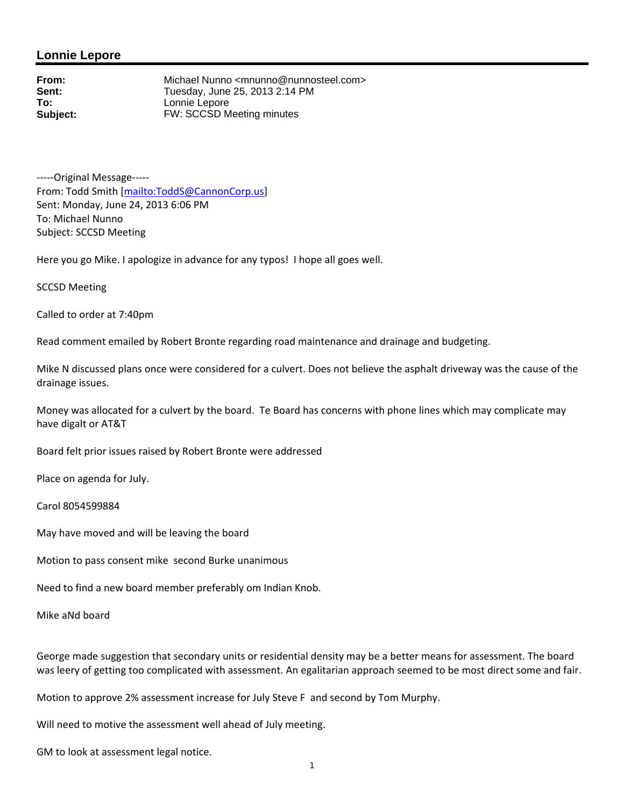## **Lonnie Lepore**

**From:** Michael Nunno <mnunno@nunnosteel.com><br> **Sent:** Tuesday. June 25, 2013 2:14 PM **Sent:** Tuesday, June 25, 2013 2:14 PM<br> **To:** Lonnie Lepore Lonnie Lepore **Subject:** FW: SCCSD Meeting minutes

‐‐‐‐‐Original Message‐‐‐‐‐ From: Todd Smith [mailto:ToddS@CannonCorp.us] Sent: Monday, June 24, 2013 6:06 PM To: Michael Nunno Subject: SCCSD Meeting

Here you go Mike. I apologize in advance for any typos! I hope all goes well.

SCCSD Meeting

Called to order at 7:40pm

Read comment emailed by Robert Bronte regarding road maintenance and drainage and budgeting.

Mike N discussed plans once were considered for a culvert. Does not believe the asphalt driveway was the cause of the drainage issues.

Money was allocated for a culvert by the board. Te Board has concerns with phone lines which may complicate may have digalt or AT&T

Board felt prior issues raised by Robert Bronte were addressed

Place on agenda for July.

Carol 8054599884

May have moved and will be leaving the board

Motion to pass consent mike second Burke unanimous

Need to find a new board member preferably om Indian Knob.

Mike aNd board

George made suggestion that secondary units or residential density may be a better means for assessment. The board was leery of getting too complicated with assessment. An egalitarian approach seemed to be most direct some and fair.

Motion to approve 2% assessment increase for July Steve F and second by Tom Murphy.

Will need to motive the assessment well ahead of July meeting.

GM to look at assessment legal notice.